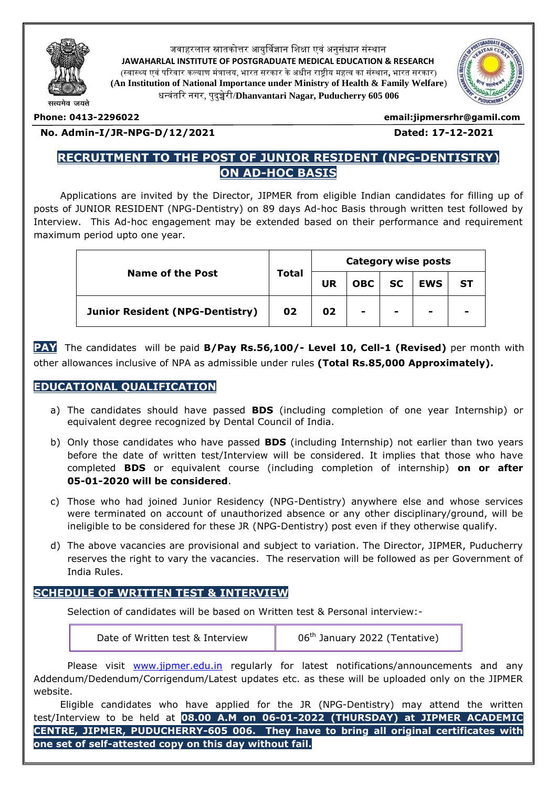

#### जवाहरलाल स्नातकोत्तर आयर्विज्ञान शिक्षा एवं अनसंधान संस्थान

**JAWAHARLAL INSTITUTE OF POSTGRADUATE MEDICAL EDUCATION & RESEARCH** (स्वास््य एवं पररवार कल्याण मंत्रालय, भारत सरकार केअधीन राष्ट्रीय महत्व का संस्थान**,** भारत सरकार) **(An Institution of National Importance under Ministry of Health & Family Welfare**) धन्वंतरर नगर, पुदुच्चेरी/**Dhanvantari Nagar, Puducherry 605 006**



**Phone: 0413-2296022 email:jipmersrhr@gamil.com**

#### **No. Admin-I/JR-NPG-D/12/2021 Dated: 17-12-2021**

# **RECRUITMENT TO THE POST OF JUNIOR RESIDENT (NPG-DENTISTRY) ON AD-HOC BASIS**

Applications are invited by the Director, JIPMER from eligible Indian candidates for filling up of posts of JUNIOR RESIDENT (NPG-Dentistry) on 89 days Ad-hoc Basis through written test followed by Interview. This Ad-hoc engagement may be extended based on their performance and requirement maximum period upto one year.

|                                        | Total | <b>Category wise posts</b> |                |                          |                          |  |
|----------------------------------------|-------|----------------------------|----------------|--------------------------|--------------------------|--|
| <b>Name of the Post</b>                |       | UR                         | <b>OBC</b>     | <b>SC</b>                | <b>EWS</b>               |  |
| <b>Junior Resident (NPG-Dentistry)</b> | 02    | 02                         | $\blacksquare$ | $\overline{\phantom{0}}$ | $\overline{\phantom{0}}$ |  |

**PAY** The candidates will be paid **B/Pay Rs.56,100/- Level 10, Cell-1 (Revised)** per month with other allowances inclusive of NPA as admissible under rules **(Total Rs.85,000 Approximately).**

## **EDUCATIONAL QUALIFICATION**

- a) The candidates should have passed **BDS** (including completion of one year Internship) or equivalent degree recognized by Dental Council of India.
- b) Only those candidates who have passed **BDS** (including Internship) not earlier than two years before the date of written test/Interview will be considered. It implies that those who have completed **BDS** or equivalent course (including completion of internship) **on or after 05-01-2020 will be considered**.
- c) Those who had joined Junior Residency (NPG-Dentistry) anywhere else and whose services were terminated on account of unauthorized absence or any other disciplinary/ground, will be ineligible to be considered for these JR (NPG-Dentistry) post even if they otherwise qualify.
- d) The above vacancies are provisional and subject to variation. The Director, JIPMER, Puducherry reserves the right to vary the vacancies. The reservation will be followed as per Government of India Rules.

## **SCHEDULE OF WRITTEN TEST & INTERVIEW**

Selection of candidates will be based on Written test & Personal interview:-

| Date of Written test & Interview | 06 <sup>th</sup> January 2022 (Tentative) |
|----------------------------------|-------------------------------------------|
|----------------------------------|-------------------------------------------|

Please visit www.jipmer.edu.in regularly for latest notifications/announcements and any Addendum/Dedendum/Corrigendum/Latest updates etc. as these will be uploaded only on the JIPMER website.

Eligible candidates who have applied for the JR (NPG-Dentistry) may attend the written test/Interview to be held at **08.00 A.M on 06-01-2022 (THURSDAY) at JIPMER ACADEMIC CENTRE, JIPMER, PUDUCHERRY-605 006. They have to bring all original certificates with one set of self-attested copy on this day without fail.**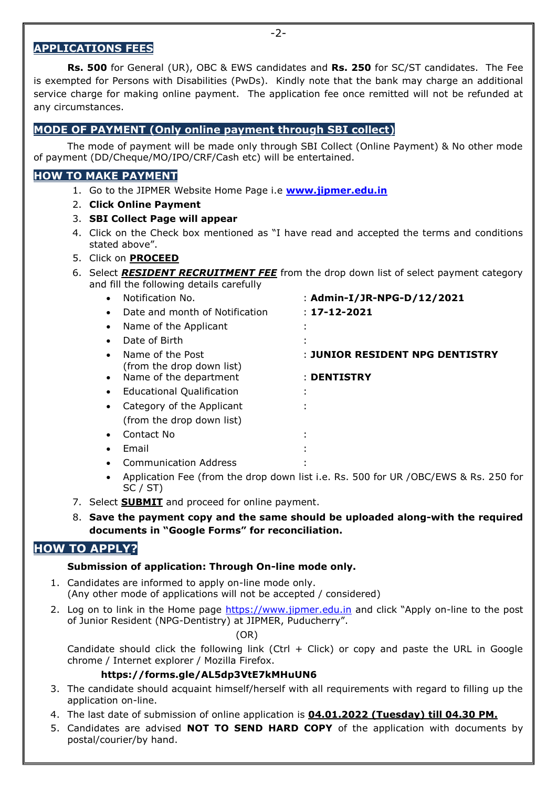#### **APPLICATIONS FEES**

**Rs. 500** for General (UR), OBC & EWS candidates and **Rs. 250** for SC/ST candidates. The Fee is exempted for Persons with Disabilities (PwDs). Kindly note that the bank may charge an additional service charge for making online payment. The application fee once remitted will not be refunded at any circumstances.

## **MODE OF PAYMENT (Only online payment through SBI collect)**

The mode of payment will be made only through SBI Collect (Online Payment) & No other mode of payment (DD/Cheque/MO/IPO/CRF/Cash etc) will be entertained.

### **HOW TO MAKE PAYMENT**

- 1. Go to the JIPMER Website Home Page i.e **[www.jipmer.edu.in](http://www.jipmer.edu.in/)**
- 2. **Click Online Payment**

### 3. **SBI Collect Page will appear**

- 4. Click on the Check box mentioned as "I have read and accepted the terms and conditions stated above".
- 5. Click on **PROCEED**
- 6. Select *RESIDENT RECRUITMENT FEE* from the drop down list of select payment category and fill the following details carefully

| $\bullet$ | Notification No.                              | : Admin-I/JR-NPG-D/12/2021      |
|-----------|-----------------------------------------------|---------------------------------|
|           | Date and month of Notification                | $: 17 - 12 - 2021$              |
|           | Name of the Applicant                         |                                 |
|           | Date of Birth                                 |                                 |
| $\bullet$ | Name of the Post<br>(from the drop down list) | : JUNIOR RESIDENT NPG DENTISTRY |
| $\bullet$ | Name of the department                        | : DENTISTRY                     |
| ٠         | <b>Educational Qualification</b>              |                                 |
| $\bullet$ | Category of the Applicant                     |                                 |
|           | (from the drop down list)                     |                                 |
| $\bullet$ | Contact No                                    |                                 |
| $\bullet$ | Email                                         |                                 |
|           | <b>Communication Address</b>                  |                                 |

- Application Fee (from the drop down list i.e. Rs. 500 for UR /OBC/EWS & Rs. 250 for SC / ST)
- 7. Select **SUBMIT** and proceed for online payment.
- 8. **Save the payment copy and the same should be uploaded along-with the required documents in "Google Forms" for reconciliation.**

## **HOW TO APPLY?**

### **Submission of application: Through On-line mode only.**

- 1. Candidates are informed to apply on-line mode only. (Any other mode of applications will not be accepted / considered)
- 2. Log on to link in the Home page [https://www.jipmer.edu.in](https://www.jipmer.edu.in/) and click "Apply on-line to the post of Junior Resident (NPG-Dentistry) at JIPMER, Puducherry".

(OR)

Candidate should click the following link (Ctrl  $+$  Click) or copy and paste the URL in Google chrome / Internet explorer / Mozilla Firefox.

### **https://forms.gle/AL5dp3VtE7kMHuUN6**

- 3. The candidate should acquaint himself/herself with all requirements with regard to filling up the application on-line.
- 4. The last date of submission of online application is **04.01.2022 (Tuesday) till 04.30 PM.**
- 5. Candidates are advised **NOT TO SEND HARD COPY** of the application with documents by postal/courier/by hand.

-2-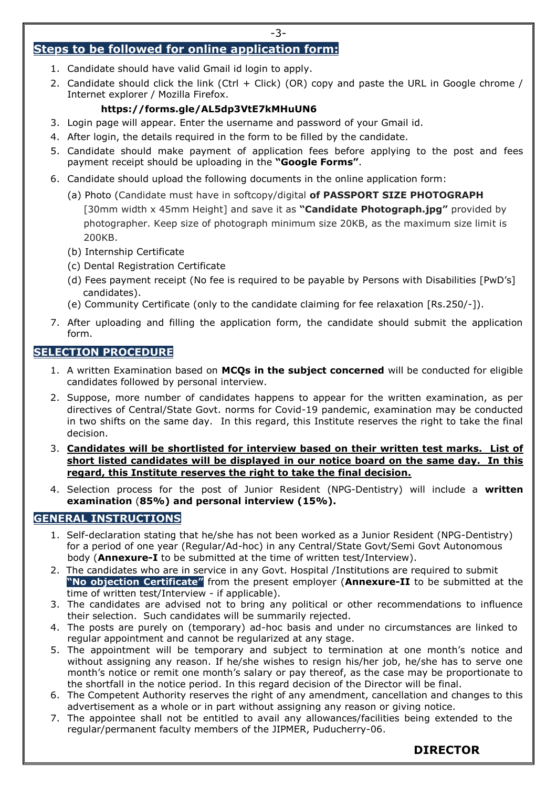# **Steps to be followed for online application form:**

- 1. Candidate should have valid Gmail id login to apply.
- 2. Candidate should click the link (Ctrl + Click) (OR) copy and paste the URL in Google chrome / Internet explorer / Mozilla Firefox.

## **https://forms.gle/AL5dp3VtE7kMHuUN6**

- 3. Login page will appear. Enter the username and password of your Gmail id.
- 4. After login, the details required in the form to be filled by the candidate.
- 5. Candidate should make payment of application fees before applying to the post and fees payment receipt should be uploading in the **"Google Forms"**.
- 6. Candidate should upload the following documents in the online application form:
	- (a) Photo (Candidate must have in softcopy/digital **of PASSPORT SIZE PHOTOGRAPH** [30mm width x 45mm Height] and save it as **"Candidate Photograph.jpg"** provided by photographer. Keep size of photograph minimum size 20KB, as the maximum size limit is 200KB.
	- (b) Internship Certificate
	- (c) Dental Registration Certificate
	- (d) Fees payment receipt (No fee is required to be payable by Persons with Disabilities [PwD's] candidates).
	- (e) Community Certificate (only to the candidate claiming for fee relaxation [Rs.250/-]).
- 7. After uploading and filling the application form, the candidate should submit the application form.

## **SELECTION PROCEDURE**

- 1. A written Examination based on **MCQs in the subject concerned** will be conducted for eligible candidates followed by personal interview.
- 2. Suppose, more number of candidates happens to appear for the written examination, as per directives of Central/State Govt. norms for Covid-19 pandemic, examination may be conducted in two shifts on the same day. In this regard, this Institute reserves the right to take the final decision.
- 3. **Candidates will be shortlisted for interview based on their written test marks. List of short listed candidates will be displayed in our notice board on the same day. In this regard, this Institute reserves the right to take the final decision.**
- 4. Selection process for the post of Junior Resident (NPG-Dentistry) will include a **written examination** (**85%) and personal interview (15%).**

## **GENERAL INSTRUCTIONS**

- 1. Self-declaration stating that he/she has not been worked as a Junior Resident (NPG-Dentistry) for a period of one year (Regular/Ad-hoc) in any Central/State Govt/Semi Govt Autonomous body (**Annexure-I** to be submitted at the time of written test/Interview). 2.
- 2. The candidates who are in service in any Govt. Hospital /Institutions are required to submit **"No objection Certificate"** from the present employer (**Annexure-II** to be submitted at the time of written test/Interview - if applicable).
- 3. The candidates are advised not to bring any political or other recommendations to influence their selection. Such candidates will be summarily rejected.
- 4. The posts are purely on (temporary) ad-hoc basis and under no circumstances are linked to regular appointment and cannot be regularized at any stage.
- 5. The appointment will be temporary and subject to termination at one month's notice and without assigning any reason. If he/she wishes to resign his/her job, he/she has to serve one month's notice or remit one month's salary or pay thereof, as the case may be proportionate to the shortfall in the notice period. In this regard decision of the Director will be final.
- 6. The Competent Authority reserves the right of any amendment, cancellation and changes to this advertisement as a whole or in part without assigning any reason or giving notice.
- 7. The appointee shall not be entitled to avail any allowances/facilities being extended to the regular/permanent faculty members of the JIPMER, Puducherry-06.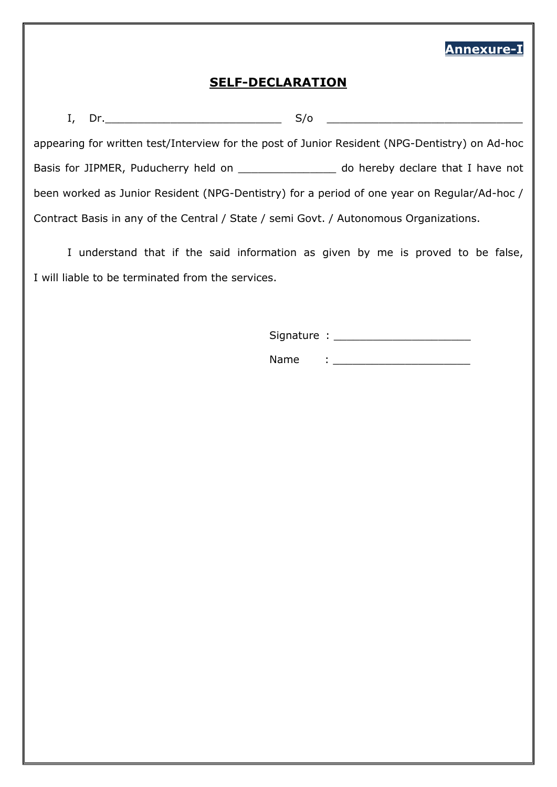# **Annexure-I**

# **SELF-DECLARATION**

 $I,$  Dr.  $S/O$   $\overline{S/O}$ 

appearing for written test/Interview for the post of Junior Resident (NPG-Dentistry) on Ad-hoc Basis for JIPMER, Puducherry held on \_\_\_\_\_\_\_\_\_\_\_\_\_\_\_\_\_ do hereby declare that I have not been worked as Junior Resident (NPG-Dentistry) for a period of one year on Regular/Ad-hoc / Contract Basis in any of the Central / State / semi Govt. / Autonomous Organizations.

I understand that if the said information as given by me is proved to be false, I will liable to be terminated from the services.

Signature : \_\_\_\_\_\_\_\_\_\_\_\_\_\_\_\_\_\_\_\_\_

Name : \_\_\_\_\_\_\_\_\_\_\_\_\_\_\_\_\_\_\_\_\_